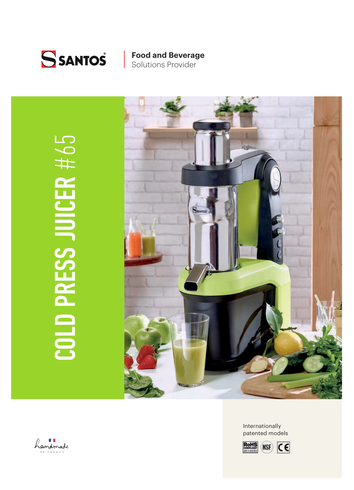

**Food and Beverage**  Solutions Provider

 $\overline{5}$ COLD PRESS JUICER #65  $#$ COLD PRESS JUICER





Internationally patented models

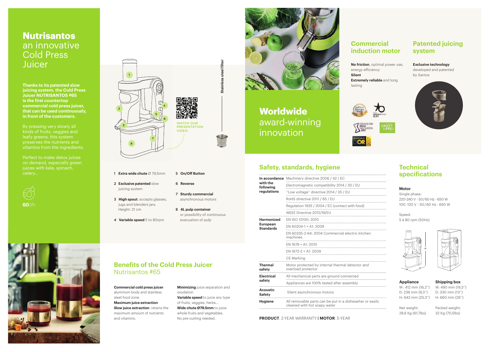# **Nutrisantos**  an innovative Cold Press Juicer

### **Benefits of the Cold Press Juicer**  Nutrisantos #65

**Thanks to its patented slow juicing system, the Cold Press Juicer NUTRISANTOS #65 is the first countertop commercial cold press juicer, that can be used continuously, in front of the customers.**

By pressing very slowly all kinds of fruits, veggies and leafy greens, this system preserves the nutrients and vitamins from the ingredients.

Perfect to make detox juices on demand, especially green juices with kale, spinach,

- 
- 2 **Exclusive patented** slow
- 3 **High spout**: accepts glasses, jugs and blenders jars.
- 4 **Variable speed** 5 to 80rpm

6 **Reverse** 

7 **Sturdy commercial**  asynchronous motors

8 **4L pulp container**

or possibility of continuous

evacuation of pulp

## **Safety, standards, hygiene**

**No friction**, optimal power use, energy efficiency

### **Extremely reliable** and long







MART

**by** or easily



| In accordance<br>with the<br>following<br>regulations    | Machinery directive 2006 / 42 / EC                                                  |
|----------------------------------------------------------|-------------------------------------------------------------------------------------|
|                                                          | Electromagnetic compatibility 2014 / 30 / EU                                        |
|                                                          | 'Low voltage'' directive 2014 / 35 / EU                                             |
|                                                          | RoHS directive 2011 / 65 / EU                                                       |
|                                                          | Regulation 1935 / 2004 / EC (contact with food)                                     |
|                                                          | WEEE Directive 2012/19/EU                                                           |
| <b>Harmonized</b><br><b>European</b><br><b>Standards</b> | EN ISO 12100: 2010                                                                  |
|                                                          | EN 60204-1 + A1: 2009                                                               |
|                                                          | EN 60335-2-64: 2004 Commercial electric kitchen<br>machines                         |
|                                                          | EN 1678 + A1: 2010                                                                  |
|                                                          | EN 1672-2 + A1: 2009                                                                |
|                                                          | <b>CE Marking</b>                                                                   |
| <b>Thermal</b><br>safety                                 | Motor protected by internal thermal detector and<br>overload protector              |
| <b>Electrical</b><br>safety                              | All mechanical parts are ground connected                                           |
|                                                          | Appliances are 100% tested after assembly                                           |
| <b>Acoustic</b><br><b>Safety</b>                         | Silent asynchronous motors                                                          |
| <b>Hygiene</b>                                           | All removable parts can be put in a dishwasher or e<br>cleaned with hot soapy water |

## **Technical specifications**

### **Exclusive technology**

developed and patented by Santos



## **Patented juicing system**

# **Worldwide**  award-winning innovation



**Silent** 

lasting

## **Commercial induction motor**

### **Motor**



Single phase: 220-240 V - 50 / 60 Hz - 650 W 100 - 120 V - 50 / 60 Hz - 650 W

Speed: 5 à 80 rpm (50Hz)

**Appliance Shipping box** W : 412 mm (16,2'') D: 236 mm (9,3'') H: 642 mm (25,3'')

Net weight: 28,6 Kg (61,7lbs)



Packed weight: 32 Kg (70,5lbs)

W: 490 mm (19,3'') D: 330 mm (13'') H: 660 mm (26'')





**Commercial cold press juicer**:

aluminum body and stainless steel food zone. **Maximum juice extraction Slow juice extraction: retains the** maximum amount of nutrients and vitamins.

**Minimizing** juice separation and oxydation

5 On/Off Button

**Variable speed** to juice any type of fruits, veggies, herbs... **Wide chute Ø79.5mm** to juice whole fruits and vegetables.

No pre-cutting needed.



**PRODUCT**: 2-YEAR WARRANTY **| MOTOR**: 5-YEAR